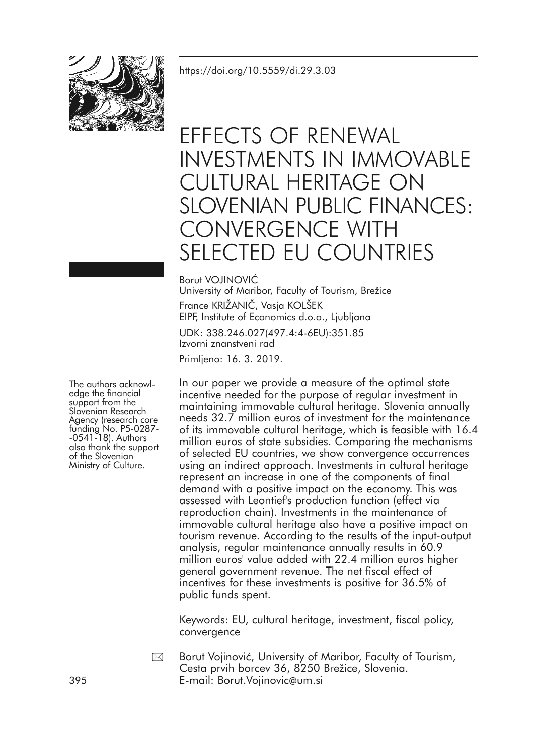

# EFFECTS OF RENEWAL INVESTMENTS IN IMMOVABLE CULTURAL HERITAGE ON SLOVENIAN PUBLIC FINANCES: CONVERGENCE WITH SELECTED EU COUNTRIES

Borut VOJINOVIĆ

University of Maribor, Faculty of Tourism, Brežice France KRIŽANIČ, Vasja KOLŠEK EIPF, Institute of Economics d.o.o., Ljubljana

UDK: 338.246.027(497.4:4-6EU):351.85 Izvorni znanstveni rad Primljeno: 16. 3. 2019.

In our paper we provide a measure of the optimal state incentive needed for the purpose of regular investment in maintaining immovable cultural heritage. Slovenia annually needs 32.7 million euros of investment for the maintenance of its immovable cultural heritage, which is feasible with 16.4 million euros of state subsidies. Comparing the mechanisms of selected EU countries, we show convergence occurrences using an indirect approach. Investments in cultural heritage represent an increase in one of the components of final demand with a positive impact on the economy. This was assessed with Leontief's production function (effect via reproduction chain). Investments in the maintenance of immovable cultural heritage also have a positive impact on tourism revenue. According to the results of the input-output analysis, regular maintenance annually results in 60.9 million euros' value added with 22.4 million euros higher general government revenue. The net fiscal effect of incentives for these investments is positive for 36.5% of public funds spent.

Keywords: EU, cultural heritage, investment, fiscal policy, convergence

Borut Vojinović, University of Maribor, Faculty of Tourism, Cesta prvih borcev 36, 8250 Brežice, Slovenia. 395 E-mail: Borut.Vojinovic@um.si  $\boxtimes$ 

The authors acknowledge the financial<br>support from the<br>Slovenian Research<br>Agency (research core Agency (research core funding No. P5-0287-<br>-0541-18). Authors also thank the support of the Slovenian Ministry of Culture.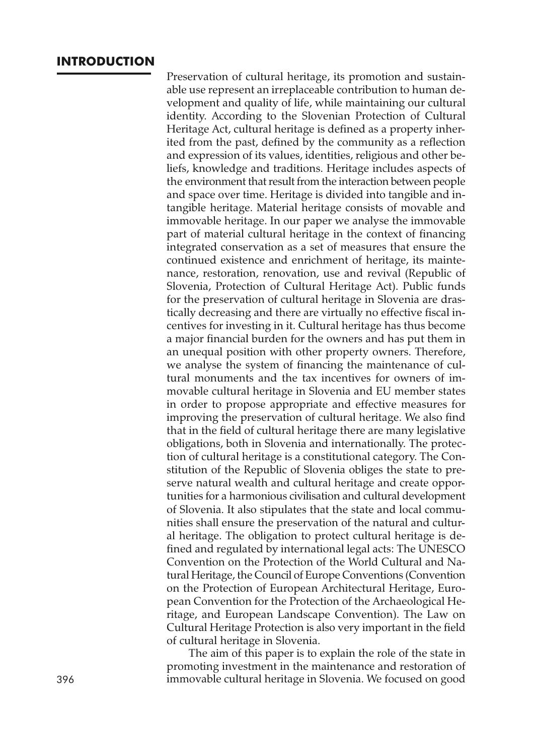#### **INTRODUCTION**

Preservation of cultural heritage, its promotion and sustainable use represent an irreplaceable contribution to human development and quality of life, while maintaining our cultural identity. According to the Slovenian Protection of Cultural Heritage Act, cultural heritage is defined as a property inherited from the past, defined by the community as a reflection and expression of its values, identities, religious and other beliefs, knowledge and traditions. Heritage includes aspects of the environment that result from the interaction between people and space over time. Heritage is divided into tangible and intangible heritage. Material heritage consists of movable and immovable heritage. In our paper we analyse the immovable part of material cultural heritage in the context of financing integrated conservation as a set of measures that ensure the continued existence and enrichment of heritage, its maintenance, restoration, renovation, use and revival (Republic of Slovenia, Protection of Cultural Heritage Act). Public funds for the preservation of cultural heritage in Slovenia are drastically decreasing and there are virtually no effective fiscal incentives for investing in it. Cultural heritage has thus become a major financial burden for the owners and has put them in an unequal position with other property owners. Therefore, we analyse the system of financing the maintenance of cultural monuments and the tax incentives for owners of immovable cultural heritage in Slovenia and EU member states in order to propose appropriate and effective measures for improving the preservation of cultural heritage. We also find that in the field of cultural heritage there are many legislative obligations, both in Slovenia and internationally. The protection of cultural heritage is a constitutional category. The Constitution of the Republic of Slovenia obliges the state to preserve natural wealth and cultural heritage and create opportunities for a harmonious civilisation and cultural development of Slovenia. It also stipulates that the state and local communities shall ensure the preservation of the natural and cultural heritage. The obligation to protect cultural heritage is defined and regulated by international legal acts: The UNESCO Convention on the Protection of the World Cultural and Natural Heritage, the Council of Europe Conventions (Convention on the Protection of European Architectural Heritage, European Convention for the Protection of the Archaeological Heritage, and European Landscape Convention). The Law on Cultural Heritage Protection is also very important in the field of cultural heritage in Slovenia.

The aim of this paper is to explain the role of the state in promoting investment in the maintenance and restoration of 396 immovable cultural heritage in Slovenia. We focused on good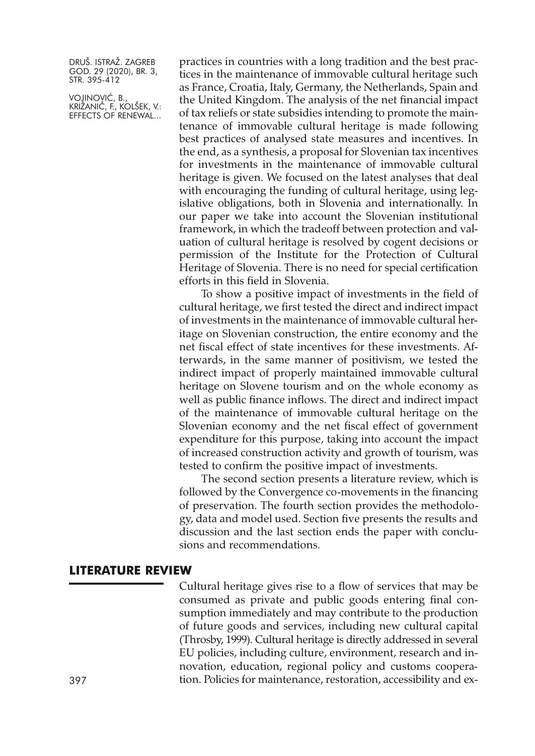VOJINOVIĆ, B., KRIŽANIČ, F., KOLŠEK, V.: EFFECTS OF RENEWAL...

practices in countries with a long tradition and the best practices in the maintenance of immovable cultural heritage such as France, Croatia, Italy, Germany, the Netherlands, Spain and the United Kingdom. The analysis of the net financial impact of tax reliefs or state subsidies intending to promote the maintenance of immovable cultural heritage is made following best practices of analysed state measures and incentives. In the end, as a synthesis, a proposal for Slovenian tax incentives for investments in the maintenance of immovable cultural heritage is given. We focused on the latest analyses that deal with encouraging the funding of cultural heritage, using legislative obligations, both in Slovenia and internationally. In our paper we take into account the Slovenian institutional framework, in which the tradeoff between protection and valuation of cultural heritage is resolved by cogent decisions or permission of the Institute for the Protection of Cultural Heritage of Slovenia. There is no need for special certification efforts in this field in Slovenia.

To show a positive impact of investments in the field of cultural heritage, we first tested the direct and indirect impact of investments in the maintenance of immovable cultural heritage on Slovenian construction, the entire economy and the net fiscal effect of state incentives for these investments. Afterwards, in the same manner of positivism, we tested the indirect impact of properly maintained immovable cultural heritage on Slovene tourism and on the whole economy as well as public finance inflows. The direct and indirect impact of the maintenance of immovable cultural heritage on the Slovenian economy and the net fiscal effect of government expenditure for this purpose, taking into account the impact of increased construction activity and growth of tourism, was tested to confirm the positive impact of investments.

The second section presents a literature review, which is followed by the Convergence co-movements in the financing of preservation. The fourth section provides the methodology, data and model used. Section five presents the results and discussion and the last section ends the paper with conclusions and recommendations.

#### **LITERATURE REVIEW**

Cultural heritage gives rise to a flow of services that may be consumed as private and public goods entering final consumption immediately and may contribute to the production of future goods and services, including new cultural capital (Throsby, 1999). Cultural heritage is directly addressed in several EU policies, including culture, environment, research and innovation, education, regional policy and customs coopera-397 tion. Policies for maintenance, restoration, accessibility and ex-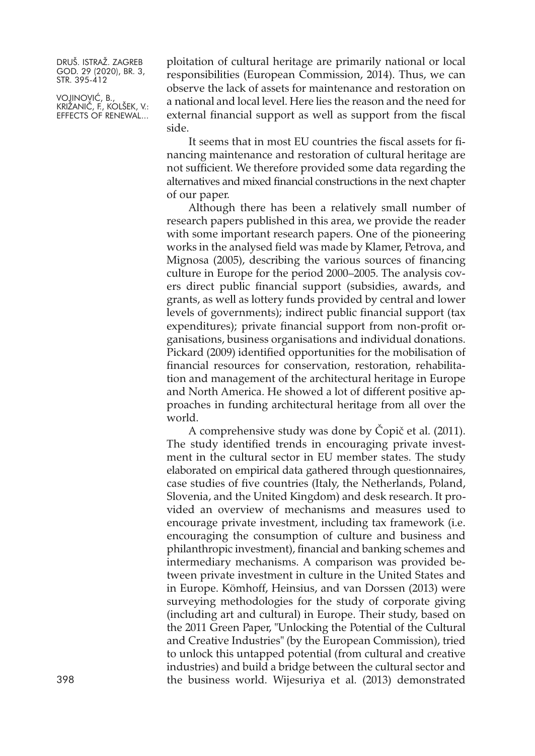VOJINOVIĆ, B., KRIŽANIČ, F., KOLŠEK, V.: EFFECTS OF RENEWAL...

ploitation of cultural heritage are primarily national or local responsibilities (European Commission, 2014). Thus, we can observe the lack of assets for maintenance and restoration on a national and local level. Here lies the reason and the need for external financial support as well as support from the fiscal side.

It seems that in most EU countries the fiscal assets for financing maintenance and restoration of cultural heritage are not sufficient. We therefore provided some data regarding the alternatives and mixed financial constructions in the next chapter of our paper.

Although there has been a relatively small number of research papers published in this area, we provide the reader with some important research papers. One of the pioneering works in the analysed field was made by Klamer, Petrova, and Mignosa (2005), describing the various sources of financing culture in Europe for the period 2000–2005. The analysis covers direct public financial support (subsidies, awards, and grants, as well as lottery funds provided by central and lower levels of governments); indirect public financial support (tax expenditures); private financial support from non-profit organisations, business organisations and individual donations. Pickard (2009) identified opportunities for the mobilisation of financial resources for conservation, restoration, rehabilitation and management of the architectural heritage in Europe and North America. He showed a lot of different positive approaches in funding architectural heritage from all over the world.

A comprehensive study was done by Čopič et al. (2011). The study identified trends in encouraging private investment in the cultural sector in EU member states. The study elaborated on empirical data gathered through questionnaires, case studies of five countries (Italy, the Netherlands, Poland, Slovenia, and the United Kingdom) and desk research. It provided an overview of mechanisms and measures used to encourage private investment, including tax framework (i.e. encouraging the consumption of culture and business and philanthropic investment), financial and banking schemes and intermediary mechanisms. A comparison was provided between private investment in culture in the United States and in Europe. Kömhoff, Heinsius, and van Dorssen (2013) were surveying methodologies for the study of corporate giving (including art and cultural) in Europe. Their study, based on the 2011 Green Paper, "Unlocking the Potential of the Cultural and Creative Industries" (by the European Commission), tried to unlock this untapped potential (from cultural and creative industries) and build a bridge between the cultural sector and 398 the business world. Wijesuriya et al. (2013) demonstrated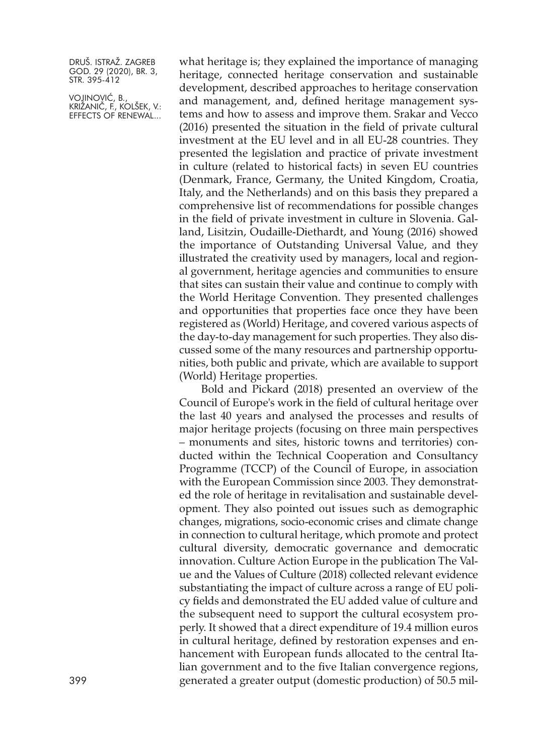VOJINOVIĆ, B., KRIŽANIČ, F., KOLŠEK, V.: EFFECTS OF RENEWAL...

what heritage is; they explained the importance of managing heritage, connected heritage conservation and sustainable development, described approaches to heritage conservation and management, and, defined heritage management systems and how to assess and improve them. Srakar and Vecco (2016) presented the situation in the field of private cultural investment at the EU level and in all EU-28 countries. They presented the legislation and practice of private investment in culture (related to historical facts) in seven EU countries (Denmark, France, Germany, the United Kingdom, Croatia, Italy, and the Netherlands) and on this basis they prepared a comprehensive list of recommendations for possible changes in the field of private investment in culture in Slovenia. Galland, Lisitzin, Oudaille-Diethardt, and Young (2016) showed the importance of Outstanding Universal Value, and they illustrated the creativity used by managers, local and regional government, heritage agencies and communities to ensure that sites can sustain their value and continue to comply with the World Heritage Convention. They presented challenges and opportunities that properties face once they have been registered as (World) Heritage, and covered various aspects of the day-to-day management for such properties. They also discussed some of the many resources and partnership opportunities, both public and private, which are available to support (World) Heritage properties.

Bold and Pickard (2018) presented an overview of the Council of Europe's work in the field of cultural heritage over the last 40 years and analysed the processes and results of major heritage projects (focusing on three main perspectives – monuments and sites, historic towns and territories) conducted within the Technical Cooperation and Consultancy Programme (TCCP) of the Council of Europe, in association with the European Commission since 2003. They demonstrated the role of heritage in revitalisation and sustainable development. They also pointed out issues such as demographic changes, migrations, socio-economic crises and climate change in connection to cultural heritage, which promote and protect cultural diversity, democratic governance and democratic innovation. Culture Action Europe in the publication The Value and the Values of Culture (2018) collected relevant evidence substantiating the impact of culture across a range of EU policy fields and demonstrated the EU added value of culture and the subsequent need to support the cultural ecosystem properly. It showed that a direct expenditure of 19.4 million euros in cultural heritage, defined by restoration expenses and enhancement with European funds allocated to the central Italian government and to the five Italian convergence regions, 399 generated a greater output (domestic production) of 50.5 mil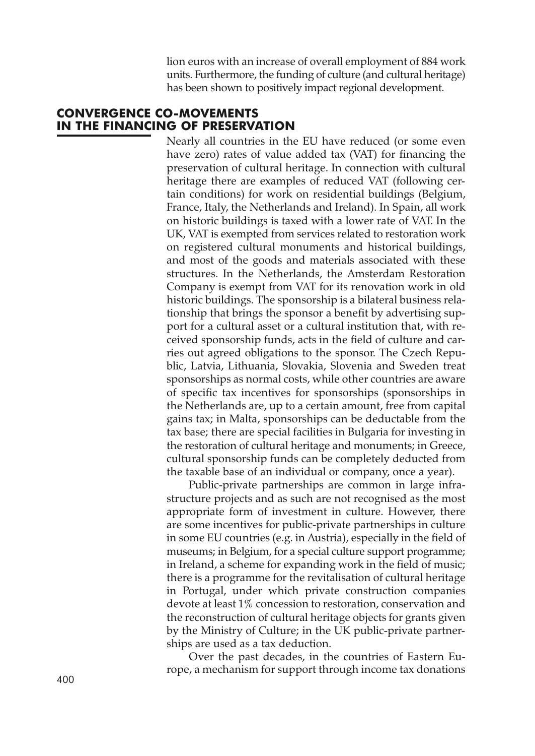lion euros with an increase of overall employment of 884 work units. Furthermore, the funding of culture (and cultural heritage) has been shown to positively impact regional development.

## **CONVERGENCE CO-MOVEMENTS IN THE FINANCING OF PRESERVATION**

Nearly all countries in the EU have reduced (or some even have zero) rates of value added tax (VAT) for financing the preservation of cultural heritage. In connection with cultural heritage there are examples of reduced VAT (following certain conditions) for work on residential buildings (Belgium, France, Italy, the Netherlands and Ireland). In Spain, all work on historic buildings is taxed with a lower rate of VAT. In the UK, VAT is exempted from services related to restoration work on registered cultural monuments and historical buildings, and most of the goods and materials associated with these structures. In the Netherlands, the Amsterdam Restoration Company is exempt from VAT for its renovation work in old historic buildings. The sponsorship is a bilateral business relationship that brings the sponsor a benefit by advertising support for a cultural asset or a cultural institution that, with received sponsorship funds, acts in the field of culture and carries out agreed obligations to the sponsor. The Czech Republic, Latvia, Lithuania, Slovakia, Slovenia and Sweden treat sponsorships as normal costs, while other countries are aware of specific tax incentives for sponsorships (sponsorships in the Netherlands are, up to a certain amount, free from capital gains tax; in Malta, sponsorships can be deductable from the tax base; there are special facilities in Bulgaria for investing in the restoration of cultural heritage and monuments; in Greece, cultural sponsorship funds can be completely deducted from the taxable base of an individual or company, once a year).

Public-private partnerships are common in large infrastructure projects and as such are not recognised as the most appropriate form of investment in culture. However, there are some incentives for public-private partnerships in culture in some EU countries (e.g. in Austria), especially in the field of museums; in Belgium, for a special culture support programme; in Ireland, a scheme for expanding work in the field of music; there is a programme for the revitalisation of cultural heritage in Portugal, under which private construction companies devote at least 1% concession to restoration, conservation and the reconstruction of cultural heritage objects for grants given by the Ministry of Culture; in the UK public-private partnerships are used as a tax deduction.

Over the past decades, in the countries of Eastern Europe, a mechanism for support through income tax donations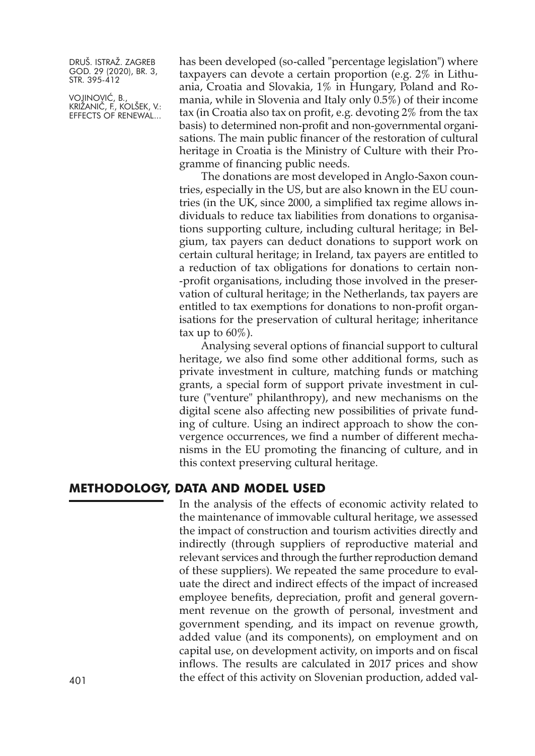VOJINOVIĆ, B., KRIŽANIČ, F., KOLŠEK, V.: EFFECTS OF RENEWAL... has been developed (so-called "percentage legislation") where taxpayers can devote a certain proportion (e.g. 2% in Lithuania, Croatia and Slovakia, 1% in Hungary, Poland and Romania, while in Slovenia and Italy only 0.5%) of their income tax (in Croatia also tax on profit, e.g. devoting 2% from the tax basis) to determined non-profit and non-governmental organisations. The main public financer of the restoration of cultural heritage in Croatia is the Ministry of Culture with their Programme of financing public needs.

The donations are most developed in Anglo-Saxon countries, especially in the US, but are also known in the EU countries (in the UK, since 2000, a simplified tax regime allows individuals to reduce tax liabilities from donations to organisations supporting culture, including cultural heritage; in Belgium, tax payers can deduct donations to support work on certain cultural heritage; in Ireland, tax payers are entitled to a reduction of tax obligations for donations to certain non- -profit organisations, including those involved in the preservation of cultural heritage; in the Netherlands, tax payers are entitled to tax exemptions for donations to non-profit organisations for the preservation of cultural heritage; inheritance tax up to  $60\%$ ).

Analysing several options of financial support to cultural heritage, we also find some other additional forms, such as private investment in culture, matching funds or matching grants, a special form of support private investment in culture ("venture" philanthropy), and new mechanisms on the digital scene also affecting new possibilities of private funding of culture. Using an indirect approach to show the convergence occurrences, we find a number of different mechanisms in the EU promoting the financing of culture, and in this context preserving cultural heritage.

#### **METHODOLOGY, DATA AND MODEL USED**

In the analysis of the effects of economic activity related to the maintenance of immovable cultural heritage, we assessed the impact of construction and tourism activities directly and indirectly (through suppliers of reproductive material and relevant services and through the further reproduction demand of these suppliers). We repeated the same procedure to evaluate the direct and indirect effects of the impact of increased employee benefits, depreciation, profit and general government revenue on the growth of personal, investment and government spending, and its impact on revenue growth, added value (and its components), on employment and on capital use, on development activity, on imports and on fiscal inflows. The results are calculated in 2017 prices and show the effect of this activity on Slovenian production, added val- 401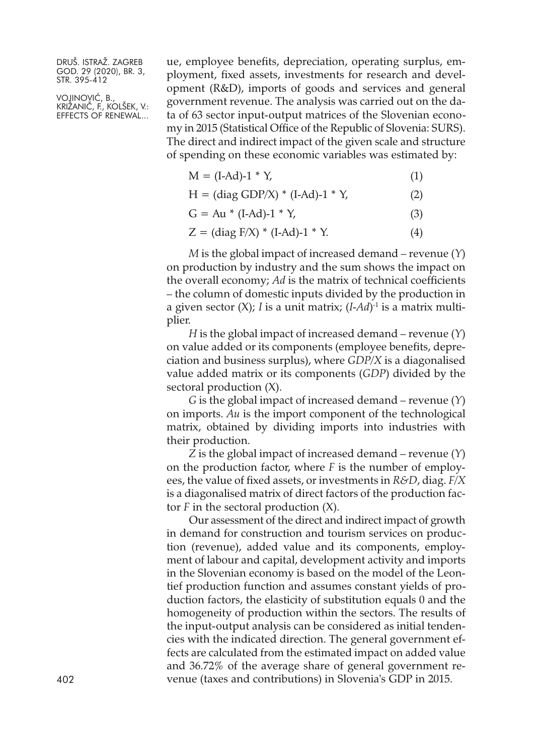VOJINOVIĆ, B., KRIŽANIČ, F., KOLŠEK, V.: EFFECTS OF RENEWAL...

ue, employee benefits, depreciation, operating surplus, employment, fixed assets, investments for research and development (R&D), imports of goods and services and general government revenue. The analysis was carried out on the data of 63 sector input-output matrices of the Slovenian economy in 2015 (Statistical Office of the Republic of Slovenia: SURS). The direct and indirect impact of the given scale and structure of spending on these economic variables was estimated by:

| $M = (I-Ad)-1 * Y,$ | (1) |
|---------------------|-----|
|---------------------|-----|

|  |  | $H = (diag GDP/X) * (I-Ad)-1 * Y,$ | (2) |
|--|--|------------------------------------|-----|
|--|--|------------------------------------|-----|

- $G = Au * (I-Ad)-1 * Y,$  (3)
- $Z = (diag F/X) * (I-Ad)-1 * Y.$  (4)

*M* is the global impact of increased demand – revenue (*Y*) on production by industry and the sum shows the impact on the overall economy; *Ad* is the matrix of technical coefficients – the column of domestic inputs divided by the production in a given sector (X); *I* is a unit matrix; (*I-Ad*)-1 is a matrix multiplier.

*H* is the global impact of increased demand – revenue (*Y*) on value added or its components (employee benefits, depreciation and business surplus), where *GDP/X* is a diagonalised value added matrix or its components (*GDP*) divided by the sectoral production (X).

*G* is the global impact of increased demand – revenue (*Y*) on imports. *Au* is the import component of the technological matrix, obtained by dividing imports into industries with their production.

*Z* is the global impact of increased demand – revenue (*Y*) on the production factor, where *F* is the number of employees, the value of fixed assets, or investments in *R&D*, diag. *F/X* is a diagonalised matrix of direct factors of the production factor *F* in the sectoral production (X).

Our assessment of the direct and indirect impact of growth in demand for construction and tourism services on production (revenue), added value and its components, employment of labour and capital, development activity and imports in the Slovenian economy is based on the model of the Leontief production function and assumes constant yields of production factors, the elasticity of substitution equals 0 and the homogeneity of production within the sectors. The results of the input-output analysis can be considered as initial tendencies with the indicated direction. The general government effects are calculated from the estimated impact on added value and 36.72% of the average share of general government re-402 venue (taxes and contributions) in Slovenia's GDP in 2015.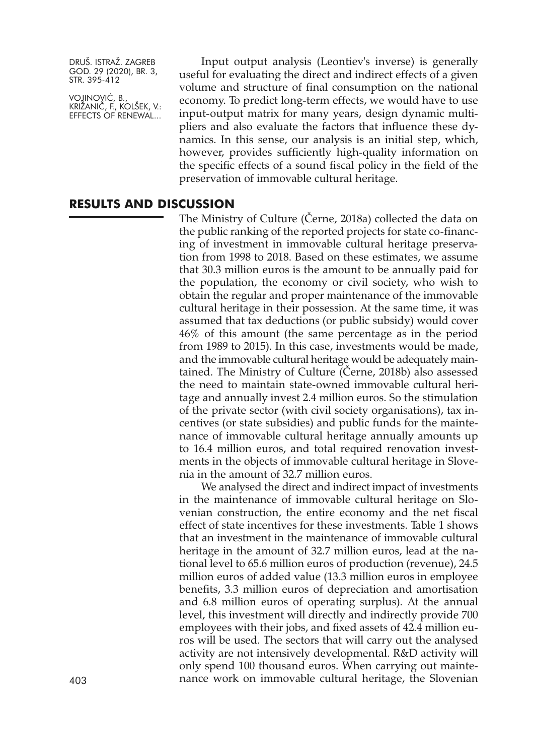VOJINOVIĆ, B., KRIŽANIČ, F., KOLŠEK, V.: EFFECTS OF RENEWAL...

Input output analysis (Leontiev's inverse) is generally useful for evaluating the direct and indirect effects of a given volume and structure of final consumption on the national economy. To predict long-term effects, we would have to use input-output matrix for many years, design dynamic multipliers and also evaluate the factors that influence these dynamics. In this sense, our analysis is an initial step, which, however, provides sufficiently high-quality information on the specific effects of a sound fiscal policy in the field of the preservation of immovable cultural heritage.

#### **RESULTS AND DISCUSSION**

The Ministry of Culture (Černe, 2018a) collected the data on the public ranking of the reported projects for state co-financing of investment in immovable cultural heritage preservation from 1998 to 2018. Based on these estimates, we assume that 30.3 million euros is the amount to be annually paid for the population, the economy or civil society, who wish to obtain the regular and proper maintenance of the immovable cultural heritage in their possession. At the same time, it was assumed that tax deductions (or public subsidy) would cover 46% of this amount (the same percentage as in the period from 1989 to 2015). In this case, investments would be made, and the immovable cultural heritage would be adequately maintained. The Ministry of Culture (Černe, 2018b) also assessed the need to maintain state-owned immovable cultural heritage and annually invest 2.4 million euros. So the stimulation of the private sector (with civil society organisations), tax incentives (or state subsidies) and public funds for the maintenance of immovable cultural heritage annually amounts up to 16.4 million euros, and total required renovation investments in the objects of immovable cultural heritage in Slovenia in the amount of 32.7 million euros.

We analysed the direct and indirect impact of investments in the maintenance of immovable cultural heritage on Slovenian construction, the entire economy and the net fiscal effect of state incentives for these investments. Table 1 shows that an investment in the maintenance of immovable cultural heritage in the amount of 32.7 million euros, lead at the national level to 65.6 million euros of production (revenue), 24.5 million euros of added value (13.3 million euros in employee benefits, 3.3 million euros of depreciation and amortisation and 6.8 million euros of operating surplus). At the annual level, this investment will directly and indirectly provide 700 employees with their jobs, and fixed assets of 42.4 million euros will be used. The sectors that will carry out the analysed activity are not intensively developmental. R&D activity will only spend 100 thousand euros. When carrying out mainte-403 nance work on immovable cultural heritage, the Slovenian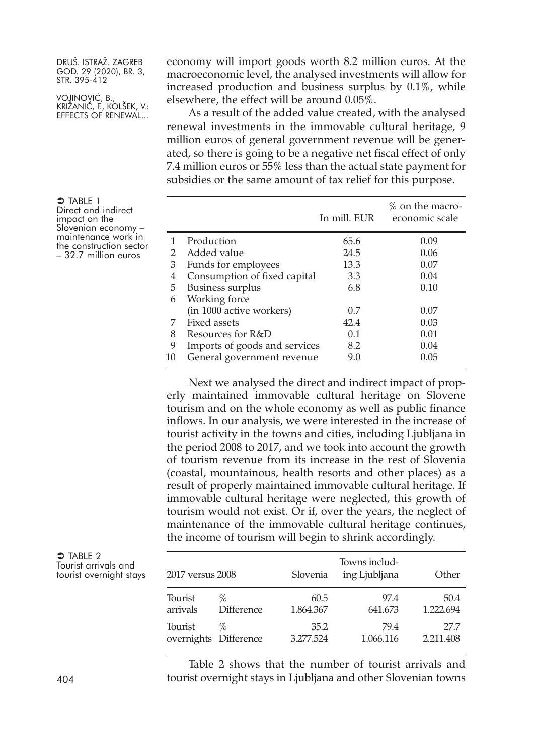VOJINOVIĆ, B., KRIŽANIČ, F., KOLŠEK, V.: EFFECTS OF RENEWAL...

economy will import goods worth 8.2 million euros. At the macroeconomic level, the analysed investments will allow for increased production and business surplus by 0.1%, while elsewhere, the effect will be around 0.05%.

As a result of the added value created, with the analysed renewal investments in the immovable cultural heritage, 9 million euros of general government revenue will be generated, so there is going to be a negative net fiscal effect of only 7.4 million euros or 55% less than the actual state payment for subsidies or the same amount of tax relief for this purpose.

|    |                               | In mill. EUR | % on the macro-<br>economic scale |
|----|-------------------------------|--------------|-----------------------------------|
| 1  | Production                    | 65.6         | 0.09                              |
|    | Added value                   | 24.5         | 0.06                              |
| 3  | Funds for employees           | 13.3         | 0.07                              |
| 4  | Consumption of fixed capital  | 3.3          | 0.04                              |
| 5  | <b>Business surplus</b>       | 6.8          | 0.10                              |
| 6  | Working force                 |              |                                   |
|    | (in 1000 active workers)      | 0.7          | 0.07                              |
| 7  | Fixed assets                  | 42.4         | 0.03                              |
| 8  | Resources for R&D             | 0.1          | 0.01                              |
| 9  | Imports of goods and services | 8.2          | 0.04                              |
| 10 | General government revenue    | 9.0          | 0.05                              |
|    |                               |              |                                   |

Next we analysed the direct and indirect impact of properly maintained immovable cultural heritage on Slovene tourism and on the whole economy as well as public finance inflows. In our analysis, we were interested in the increase of tourist activity in the towns and cities, including Ljubljana in the period 2008 to 2017, and we took into account the growth of tourism revenue from its increase in the rest of Slovenia (coastal, mountainous, health resorts and other places) as a result of properly maintained immovable cultural heritage. If immovable cultural heritage were neglected, this growth of tourism would not exist. Or if, over the years, the neglect of maintenance of the immovable cultural heritage continues, the income of tourism will begin to shrink accordingly.

| $\supset$ TABLE 2 |                         |
|-------------------|-------------------------|
|                   | Tourist arrivals and    |
|                   | tourist overnight stays |

| 2017 versus 2008 |                       | Slovenia  | Towns includ-<br>ing Ljubljana | Other     |
|------------------|-----------------------|-----------|--------------------------------|-----------|
| Tourist          | %                     | 60.5      | 97.4                           | 50.4      |
| arrivals         | <b>Difference</b>     | 1.864.367 | 641.673                        | 1.222.694 |
| Tourist          | $\%$                  | 35.2      | 79.4                           | 27.7      |
|                  | overnights Difference | 3.277.524 | 1.066.116                      | 2.211.408 |

Table 2 shows that the number of tourist arrivals and 404 tourist overnight stays in Ljubljana and other Slovenian towns

 $\Rightarrow$  TABLE 1 Direct and indirect<br>impact on the Slovenian economy – maintenance work in the construction sector – 32.7 million euros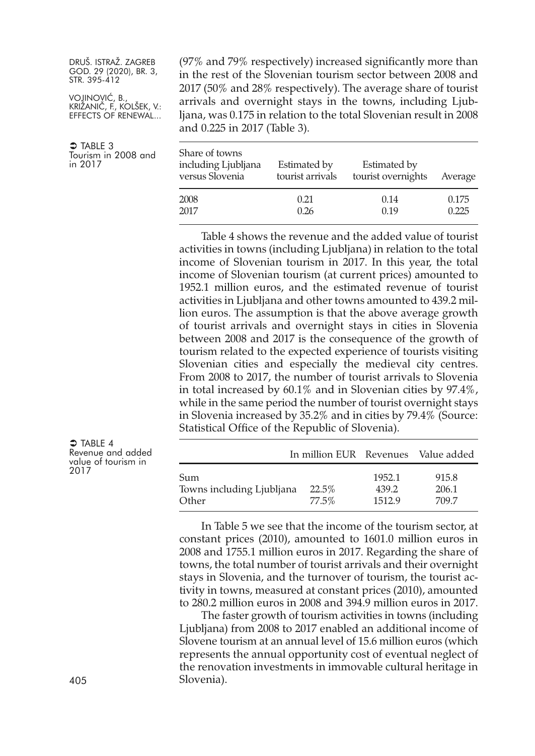VOJINOVIĆ, B., KRIŽANIČ, F., KOLŠEK, V.: EFFECTS OF RENEWAL...

 $\supset$  TABLE 3 Tourism in 2008 and in 2017

(97% and 79% respectively) increased significantly more than in the rest of the Slovenian tourism sector between 2008 and 2017 (50% and 28% respectively). The average share of tourist arrivals and overnight stays in the towns, including Ljubljana, was 0.175 in relation to the total Slovenian result in 2008 and 0.225 in 2017 (Table 3).

| Share of towns<br>including Ljubljana<br>versus Slovenia | Estimated by<br>tourist arrivals | Estimated by<br>tourist overnights | Average |
|----------------------------------------------------------|----------------------------------|------------------------------------|---------|
| 2008                                                     | 0.21                             | 0.14                               | 0.175   |
| 2017                                                     | 0.26                             | 0.19                               | 0.225   |

Table 4 shows the revenue and the added value of tourist activities in towns (including Ljubljana) in relation to the total income of Slovenian tourism in 2017. In this year, the total income of Slovenian tourism (at current prices) amounted to 1952.1 million euros, and the estimated revenue of tourist activities in Ljubljana and other towns amounted to 439.2 million euros. The assumption is that the above average growth of tourist arrivals and overnight stays in cities in Slovenia between 2008 and 2017 is the consequence of the growth of tourism related to the expected experience of tourists visiting Slovenian cities and especially the medieval city centres. From 2008 to 2017, the number of tourist arrivals to Slovenia in total increased by 60.1% and in Slovenian cities by 97.4%, while in the same period the number of tourist overnight stays in Slovenia increased by 35.2% and in cities by 79.4% (Source: Statistical Office of the Republic of Slovenia).

|                                           | In million EUR Revenues Value added |                           |                         |
|-------------------------------------------|-------------------------------------|---------------------------|-------------------------|
| Sum<br>Towns including Ljubljana<br>Other | 22.5%<br>77.5%                      | 1952.1<br>439.2<br>1512.9 | 915.8<br>206.1<br>709.7 |

In Table 5 we see that the income of the tourism sector, at constant prices (2010), amounted to 1601.0 million euros in 2008 and 1755.1 million euros in 2017. Regarding the share of towns, the total number of tourist arrivals and their overnight stays in Slovenia, and the turnover of tourism, the tourist activity in towns, measured at constant prices (2010), amounted to 280.2 million euros in 2008 and 394.9 million euros in 2017.

The faster growth of tourism activities in towns (including Ljubljana) from 2008 to 2017 enabled an additional income of Slovene tourism at an annual level of 15.6 million euros (which represents the annual opportunity cost of eventual neglect of the renovation investments in immovable cultural heritage in 405 Slovenia).

 $\bullet$  TABLE 4

Revenue and added value of tourism in 2017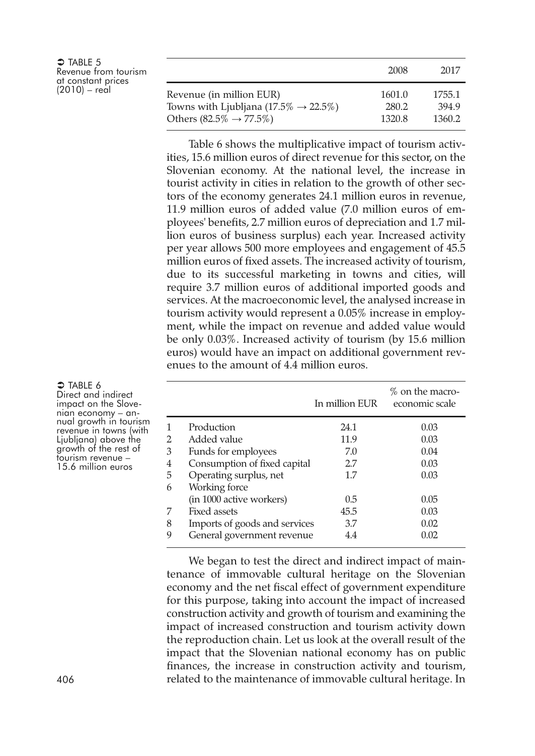| $\Rightarrow$ TABLE 5<br>Revenue from tourism<br>at constant prices |                                                    | 2008   | 2017   |
|---------------------------------------------------------------------|----------------------------------------------------|--------|--------|
| $(2010) - real$                                                     | Revenue (in million EUR)                           | 1601.0 | 1755.1 |
|                                                                     | Towns with Ljubljana $(17.5\% \rightarrow 22.5\%)$ | 280.2  | 394.9  |
|                                                                     | Others (82.5% $\rightarrow$ 77.5%)                 | 1320.8 | 1360.2 |

Table 6 shows the multiplicative impact of tourism activities, 15.6 million euros of direct revenue for this sector, on the Slovenian economy. At the national level, the increase in tourist activity in cities in relation to the growth of other sectors of the economy generates 24.1 million euros in revenue, 11.9 million euros of added value (7.0 million euros of employees' benefits, 2.7 million euros of depreciation and 1.7 million euros of business surplus) each year. Increased activity per year allows 500 more employees and engagement of 45.5 million euros of fixed assets. The increased activity of tourism, due to its successful marketing in towns and cities, will require 3.7 million euros of additional imported goods and services. At the macroeconomic level, the analysed increase in tourism activity would represent a 0.05% increase in employment, while the impact on revenue and added value would be only 0.03%. Increased activity of tourism (by 15.6 million euros) would have an impact on additional government revenues to the amount of 4.4 million euros.

|   |                               | In million EUR | $%$ on the macro-<br>economic scale |
|---|-------------------------------|----------------|-------------------------------------|
|   | Production                    | 24.1           | 0.03                                |
| 2 | Added value                   | 11.9           | 0.03                                |
| 3 | Funds for employees           | 7.0            | 0.04                                |
| 4 | Consumption of fixed capital  | 2.7            | 0.03                                |
| 5 | Operating surplus, net        | 1.7            | 0.03                                |
| 6 | Working force                 |                |                                     |
|   | (in 1000 active workers)      | 0.5            | 0.05                                |
|   | Fixed assets                  | 45.5           | 0.03                                |
| 8 | Imports of goods and services | 3.7            | 0.02                                |
| 9 | General government revenue    | 4.4            | 0.02                                |

We began to test the direct and indirect impact of maintenance of immovable cultural heritage on the Slovenian economy and the net fiscal effect of government expenditure for this purpose, taking into account the impact of increased construction activity and growth of tourism and examining the impact of increased construction and tourism activity down the reproduction chain. Let us look at the overall result of the impact that the Slovenian national economy has on public finances, the increase in construction activity and tourism, 406 related to the maintenance of immovable cultural heritage. In

 $\bigcirc$  TABLE 6 Direct and indirect<br>impact on the Slovenian economy – an-<br>nual growth in tourism<br>revenue in towns (with<br>Ljubljana) above the growth of the rest of<br>tourism revenue -15.6 million euros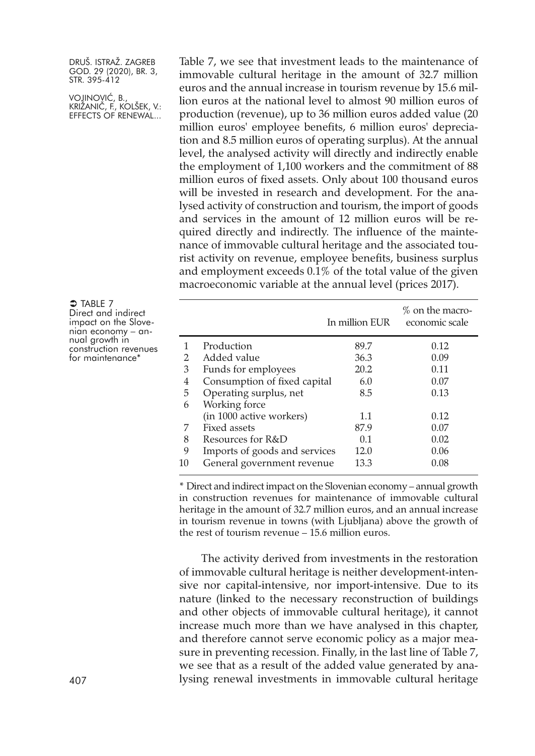VOJINOVIĆ, B., KRIŽANIČ, F., KOLŠEK, V.: EFFECTS OF RENEWAL...

 $\bigcirc$  Table 7 Direct and indirect<br>impact on the Slovenian economy – an-<br>nual growth in<br>construction revenues<br>for maintenance\*

Table 7, we see that investment leads to the maintenance of immovable cultural heritage in the amount of 32.7 million euros and the annual increase in tourism revenue by 15.6 million euros at the national level to almost 90 million euros of production (revenue), up to 36 million euros added value (20 million euros' employee benefits, 6 million euros' depreciation and 8.5 million euros of operating surplus). At the annual level, the analysed activity will directly and indirectly enable the employment of 1,100 workers and the commitment of 88 million euros of fixed assets. Only about 100 thousand euros will be invested in research and development. For the analysed activity of construction and tourism, the import of goods and services in the amount of 12 million euros will be required directly and indirectly. The influence of the maintenance of immovable cultural heritage and the associated tourist activity on revenue, employee benefits, business surplus and employment exceeds 0.1% of the total value of the given macroeconomic variable at the annual level (prices 2017).

|    |                               | In million EUR | $%$ on the macro-<br>economic scale |
|----|-------------------------------|----------------|-------------------------------------|
|    | Production                    | 89.7           | 0.12                                |
| 2  | Added value                   | 36.3           | 0.09                                |
| 3  | Funds for employees           | 20.2           | 0.11                                |
| 4  | Consumption of fixed capital  | 6.0            | 0.07                                |
| 5  | Operating surplus, net        | 8.5            | 0.13                                |
| 6  | Working force                 |                |                                     |
|    | (in 1000 active workers)      | 1.1            | 0.12                                |
| 7  | Fixed assets                  | 87.9           | 0.07                                |
| 8  | Resources for R&D             | 0.1            | 0.02                                |
| 9  | Imports of goods and services | 12.0           | 0.06                                |
| 10 | General government revenue    | 13.3           | 0.08                                |

\* Direct and indirect impact on the Slovenian economy – annual growth in construction revenues for maintenance of immovable cultural heritage in the amount of 32.7 million euros, and an annual increase in tourism revenue in towns (with Ljubljana) above the growth of the rest of tourism revenue – 15.6 million euros.

The activity derived from investments in the restoration of immovable cultural heritage is neither development-intensive nor capital-intensive, nor import-intensive. Due to its nature (linked to the necessary reconstruction of buildings and other objects of immovable cultural heritage), it cannot increase much more than we have analysed in this chapter, and therefore cannot serve economic policy as a major measure in preventing recession. Finally, in the last line of Table 7, we see that as a result of the added value generated by ana-407 lysing renewal investments in immovable cultural heritage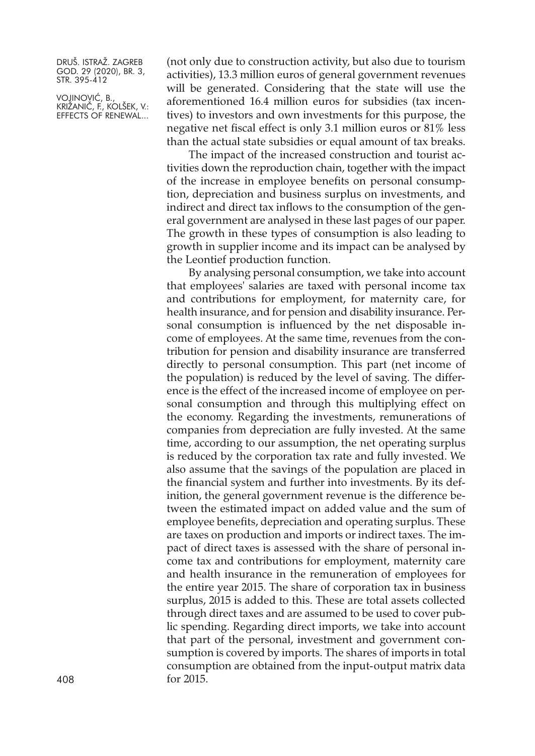VOJINOVIĆ, B., KRIŽANIČ, F., KOLŠEK, V.: EFFECTS OF RENEWAL...

(not only due to construction activity, but also due to tourism activities), 13.3 million euros of general government revenues will be generated. Considering that the state will use the aforementioned 16.4 million euros for subsidies (tax incentives) to investors and own investments for this purpose, the negative net fiscal effect is only 3.1 million euros or 81% less than the actual state subsidies or equal amount of tax breaks.

The impact of the increased construction and tourist activities down the reproduction chain, together with the impact of the increase in employee benefits on personal consumption, depreciation and business surplus on investments, and indirect and direct tax inflows to the consumption of the general government are analysed in these last pages of our paper. The growth in these types of consumption is also leading to growth in supplier income and its impact can be analysed by the Leontief production function.

By analysing personal consumption, we take into account that employees' salaries are taxed with personal income tax and contributions for employment, for maternity care, for health insurance, and for pension and disability insurance. Personal consumption is influenced by the net disposable income of employees. At the same time, revenues from the contribution for pension and disability insurance are transferred directly to personal consumption. This part (net income of the population) is reduced by the level of saving. The difference is the effect of the increased income of employee on personal consumption and through this multiplying effect on the economy. Regarding the investments, remunerations of companies from depreciation are fully invested. At the same time, according to our assumption, the net operating surplus is reduced by the corporation tax rate and fully invested. We also assume that the savings of the population are placed in the financial system and further into investments. By its definition, the general government revenue is the difference between the estimated impact on added value and the sum of employee benefits, depreciation and operating surplus. These are taxes on production and imports or indirect taxes. The impact of direct taxes is assessed with the share of personal income tax and contributions for employment, maternity care and health insurance in the remuneration of employees for the entire year 2015. The share of corporation tax in business surplus, 2015 is added to this. These are total assets collected through direct taxes and are assumed to be used to cover public spending. Regarding direct imports, we take into account that part of the personal, investment and government consumption is covered by imports. The shares of imports in total consumption are obtained from the input-output matrix data 408 for 2015.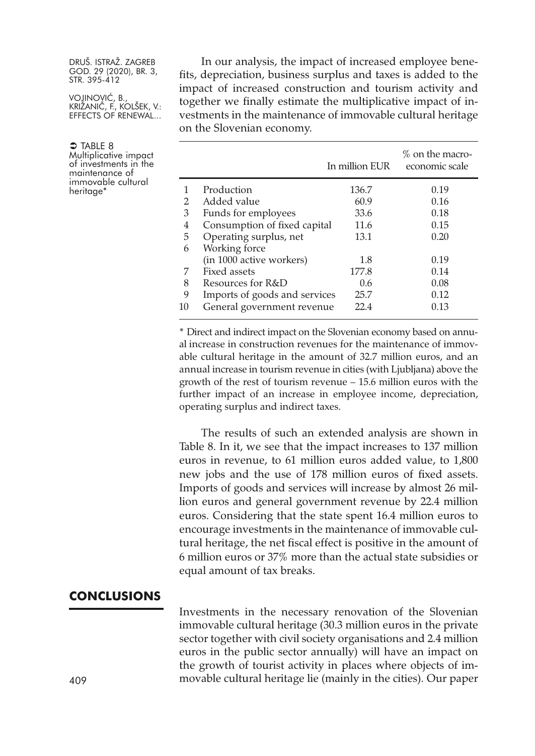VOJINOVIĆ, B., KRIŽANIČ, F., KOLŠEK, V.: EFFECTS OF RENEWAL...

 $\supset$  Table 8 Multiplicative impact of investments in the maintenance of immovable cultural heritage<sup>\*</sup>

In our analysis, the impact of increased employee benefits, depreciation, business surplus and taxes is added to the impact of increased construction and tourism activity and together we finally estimate the multiplicative impact of investments in the maintenance of immovable cultural heritage on the Slovenian economy.

|    |                               | In million EUR | $%$ on the macro-<br>economic scale |
|----|-------------------------------|----------------|-------------------------------------|
|    | Production                    | 136.7          | 0.19                                |
| 2  | Added value                   | 60.9           | 0.16                                |
| 3  | Funds for employees           | 33.6           | 0.18                                |
| 4  | Consumption of fixed capital  | 11.6           | 0.15                                |
| 5  | Operating surplus, net        | 13.1           | 0.20                                |
| 6  | Working force                 |                |                                     |
|    | (in 1000 active workers)      | 1.8            | 0.19                                |
| 7  | Fixed assets                  | 177.8          | 0.14                                |
| 8  | Resources for R&D             | 0.6            | 0.08                                |
| 9  | Imports of goods and services | 25.7           | 0.12                                |
| 10 | General government revenue    | 22.4           | 0.13                                |

\* Direct and indirect impact on the Slovenian economy based on annual increase in construction revenues for the maintenance of immovable cultural heritage in the amount of 32.7 million euros, and an annual increase in tourism revenue in cities (with Ljubljana) above the growth of the rest of tourism revenue – 15.6 million euros with the further impact of an increase in employee income, depreciation, operating surplus and indirect taxes.

The results of such an extended analysis are shown in Table 8. In it, we see that the impact increases to 137 million euros in revenue, to 61 million euros added value, to 1,800 new jobs and the use of 178 million euros of fixed assets. Imports of goods and services will increase by almost 26 million euros and general government revenue by 22.4 million euros. Considering that the state spent 16.4 million euros to encourage investments in the maintenance of immovable cultural heritage, the net fiscal effect is positive in the amount of 6 million euros or 37% more than the actual state subsidies or equal amount of tax breaks.

#### **CONCLUSIONS**

Investments in the necessary renovation of the Slovenian immovable cultural heritage (30.3 million euros in the private sector together with civil society organisations and 2.4 million euros in the public sector annually) will have an impact on the growth of tourist activity in places where objects of im-409 movable cultural heritage lie (mainly in the cities). Our paper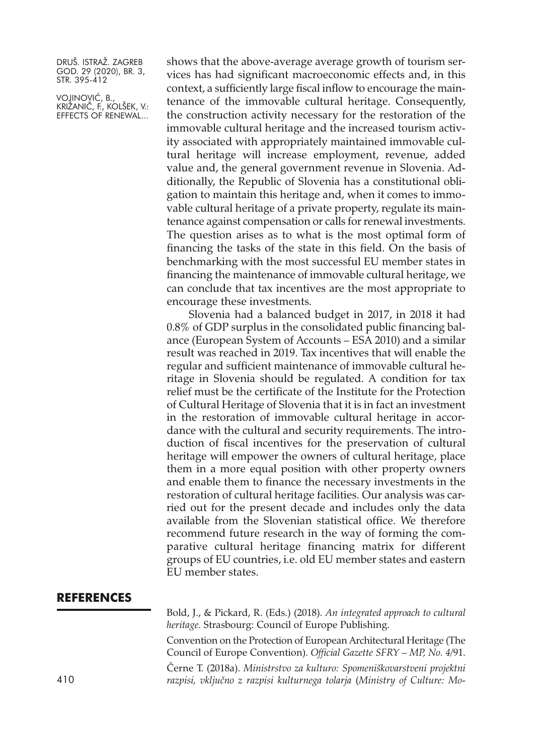VOJINOVIĆ, B., KRIŽANIČ, F., KOLŠEK, V.: EFFECTS OF RENEWAL...

shows that the above-average average growth of tourism services has had significant macroeconomic effects and, in this context, a sufficiently large fiscal inflow to encourage the maintenance of the immovable cultural heritage. Consequently, the construction activity necessary for the restoration of the immovable cultural heritage and the increased tourism activity associated with appropriately maintained immovable cultural heritage will increase employment, revenue, added value and, the general government revenue in Slovenia. Additionally, the Republic of Slovenia has a constitutional obligation to maintain this heritage and, when it comes to immovable cultural heritage of a private property, regulate its maintenance against compensation or calls for renewal investments. The question arises as to what is the most optimal form of financing the tasks of the state in this field. On the basis of benchmarking with the most successful EU member states in financing the maintenance of immovable cultural heritage, we can conclude that tax incentives are the most appropriate to encourage these investments.

Slovenia had a balanced budget in 2017, in 2018 it had 0.8% of GDP surplus in the consolidated public financing balance (European System of Accounts – ESA 2010) and a similar result was reached in 2019. Tax incentives that will enable the regular and sufficient maintenance of immovable cultural heritage in Slovenia should be regulated. A condition for tax relief must be the certificate of the Institute for the Protection of Cultural Heritage of Slovenia that it is in fact an investment in the restoration of immovable cultural heritage in accordance with the cultural and security requirements. The introduction of fiscal incentives for the preservation of cultural heritage will empower the owners of cultural heritage, place them in a more equal position with other property owners and enable them to finance the necessary investments in the restoration of cultural heritage facilities. Our analysis was carried out for the present decade and includes only the data available from the Slovenian statistical office. We therefore recommend future research in the way of forming the comparative cultural heritage financing matrix for different groups of EU countries, i.e. old EU member states and eastern EU member states.

### **REFERENCES**

Bold, J., & Pickard, R. (Eds.) (2018). *An integrated approach to cultural heritage*. Strasbourg: Council of Europe Publishing. Convention on the Protection of European Architectural Heritage (The Council of Europe Convention). *Official Gazette SFRY – MP, No. 4*/91.

Černe T. (2018a). *Ministrstvo za kulturo: Spomeniškovarstveni projektni* 410 *razpisi, vključno z razpisi kulturnega tolarja* (*Ministry of Culture: Mo-*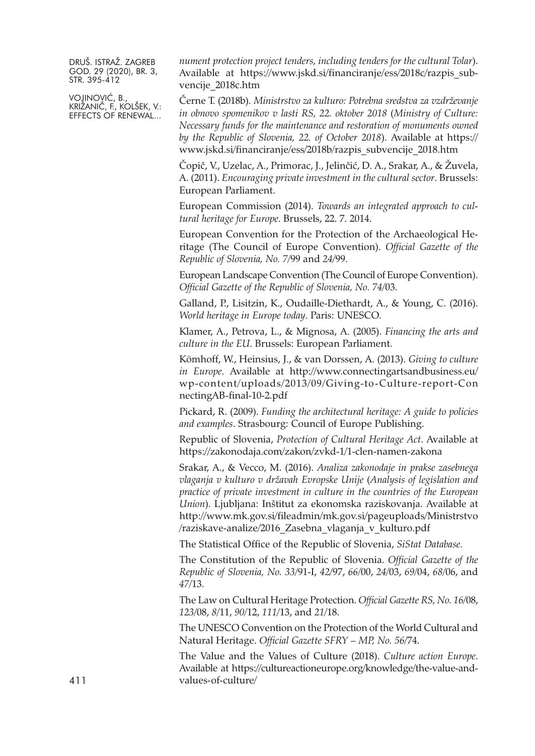VOJINOVIĆ, B., KRIŽANIČ, F., KOLŠEK, V.: EFFECTS OF RENEWAL... *nument protection project tenders, including tenders for the cultural Tolar*). Available at [https://www.jskd.si/financiranje/ess/2018c/razpis\\_sub](https://www.jskd.si/financiranje/ess/2018c/razpis_subvencije_2018c.htm)[vencije\\_2018c.htm](https://www.jskd.si/financiranje/ess/2018c/razpis_subvencije_2018c.htm)

Černe T. (2018b). *Ministrstvo za kulturo: Potrebna sredstva za vzdrževanje in obnovo spomenikov v lasti RS, 22. oktober 2018* (*Ministry of Culture: Necessary funds for the maintenance and restoration of monuments owned by the Republic of Slovenia, 22. of October 2018*). Available at [https://](https://www.jskd.si/financiranje/ess/2018b/razpis_subvencije_2018.htm) [www.jskd.si/financiranje/ess/2018b/razpis\\_subvencije\\_2018.htm](https://www.jskd.si/financiranje/ess/2018b/razpis_subvencije_2018.htm)

Čopič, V., Uzelac, A., Primorac, J., Jelinčić, D. A., Srakar, A., & Žuvela, A. (2011). *Encouraging private investment in the cultural sector*. Brussels: European Parliament.

European Commission (2014). *Towards an integrated approach to cultural heritage for Europe*. Brussels, 22. 7. 2014.

European Convention for the Protection of the Archaeological Heritage (The Council of Europe Convention). *Official Gazette of the Republic of Slovenia, No. 7*/99 and *24*/99.

European Landscape Convention (The Council of Europe Convention). *Official Gazette of the Republic of Slovenia, No. 74*/03.

Galland, P., Lisitzin, K., Oudaille-Diethardt, A., & Young, C. (2016). *World heritage in Europe today*. Paris: UNESCO.

Klamer, A., Petrova, L., & Mignosa, A. (2005). *Financing the arts and culture in the EU*. Brussels: European Parliament.

Kömhoff, W., Heinsius, J., & van Dorssen, A. (2013). *Giving to culture in Europe*. Available at [http://www.connectingartsandbusiness.eu/](http://www.connectingartsandbusiness.eu/wp-content/uploads/2013/09/Giving-to-Culture-report-ConnectingAB-final-10-2.pdf) [wp-content/uploads/2013/09/Giving-to-Culture-report-Con](http://www.connectingartsandbusiness.eu/wp-content/uploads/2013/09/Giving-to-Culture-report-ConnectingAB-final-10-2.pdf) [nectingAB-final-10-2.pdf](http://www.connectingartsandbusiness.eu/wp-content/uploads/2013/09/Giving-to-Culture-report-ConnectingAB-final-10-2.pdf)

Pickard, R. (2009). *Funding the architectural heritage: A guide to policies and examples*. Strasbourg: Council of Europe Publishing.

Republic of Slovenia, *Protection of Cultural Heritage Act*. Available at <https://zakonodaja.com/zakon/zvkd-1/1-clen-namen-zakona>

Srakar, A., & Vecco, M. (2016). *Analiza zakonodaje in prakse zasebnega vlaganja v kulturo v državah Evropske Unije* (*Analysis of legislation and practice of private investment in culture in the countries of the European Union*). Ljubljana: Inštitut za ekonomska raziskovanja. Available at [http://www.mk.gov.si/fileadmin/mk.gov.si/pageuploads/Ministrstvo](http://www.mk.gov.si/fileadmin/mk.gov.si/pageuploads/Ministrstvo/raziskave-analize/2016_Zasebna_vlaganja_v_kulturo.pdf) [/raziskave-analize/2016\\_Zasebna\\_vlaganja\\_v\\_kulturo.pdf](http://www.mk.gov.si/fileadmin/mk.gov.si/pageuploads/Ministrstvo/raziskave-analize/2016_Zasebna_vlaganja_v_kulturo.pdf)

The Statistical Office of the Republic of Slovenia, *SiStat Database.*

The Constitution of the Republic of Slovenia. *Official Gazette of the Republic of Slovenia, No. 33*/91-I, *42*/97, *66*/00, *24*/03, *69*/04, *68*/06, and *47*/13.

The Law on Cultural Heritage Protection. *Official Gazette RS, No. 16*/08, *123*/08, *8*/11, *90*/12, *111*/13, and *21*/18.

The UNESCO Convention on the Protection of the World Cultural and Natural Heritage. *Official Gazette SFRY – MP, No. 56*/74.

The Value and the Values of Culture (2018). *Culture action Europe*. Available at [https://cultureactioneurope.org/knowledge/the-value-and-](https://cultureactioneurope.org/knowledge/the-value-and-values-of-culture)411 [values-of-culture/](https://cultureactioneurope.org/knowledge/the-value-and-values-of-culture)